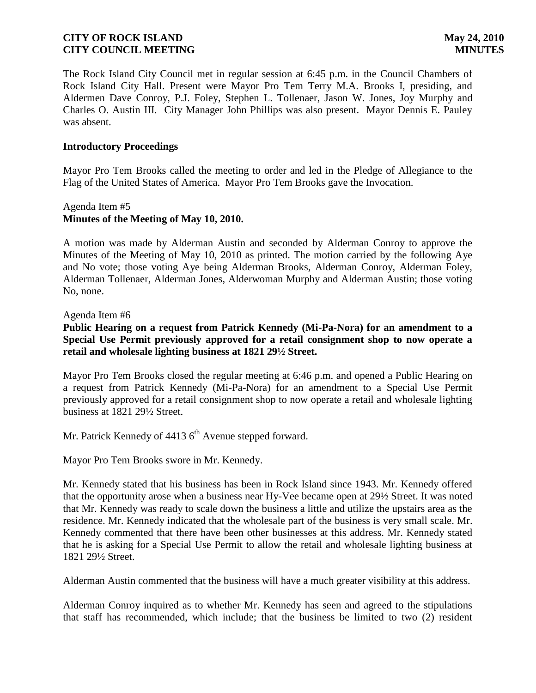The Rock Island City Council met in regular session at 6:45 p.m. in the Council Chambers of Rock Island City Hall. Present were Mayor Pro Tem Terry M.A. Brooks I, presiding, and Aldermen Dave Conroy, P.J. Foley, Stephen L. Tollenaer, Jason W. Jones, Joy Murphy and Charles O. Austin III. City Manager John Phillips was also present. Mayor Dennis E. Pauley was absent.

#### **Introductory Proceedings**

Mayor Pro Tem Brooks called the meeting to order and led in the Pledge of Allegiance to the Flag of the United States of America. Mayor Pro Tem Brooks gave the Invocation.

# Agenda Item #5 **Minutes of the Meeting of May 10, 2010.**

A motion was made by Alderman Austin and seconded by Alderman Conroy to approve the Minutes of the Meeting of May 10, 2010 as printed. The motion carried by the following Aye and No vote; those voting Aye being Alderman Brooks, Alderman Conroy, Alderman Foley, Alderman Tollenaer, Alderman Jones, Alderwoman Murphy and Alderman Austin; those voting No, none.

#### Agenda Item #6

**Public Hearing on a request from Patrick Kennedy (Mi-Pa-Nora) for an amendment to a Special Use Permit previously approved for a retail consignment shop to now operate a retail and wholesale lighting business at 1821 29½ Street.**

Mayor Pro Tem Brooks closed the regular meeting at 6:46 p.m. and opened a Public Hearing on a request from Patrick Kennedy (Mi-Pa-Nora) for an amendment to a Special Use Permit previously approved for a retail consignment shop to now operate a retail and wholesale lighting business at 1821 29½ Street.

Mr. Patrick Kennedy of  $44136<sup>th</sup>$  Avenue stepped forward.

Mayor Pro Tem Brooks swore in Mr. Kennedy.

Mr. Kennedy stated that his business has been in Rock Island since 1943. Mr. Kennedy offered that the opportunity arose when a business near Hy-Vee became open at 29½ Street. It was noted that Mr. Kennedy was ready to scale down the business a little and utilize the upstairs area as the residence. Mr. Kennedy indicated that the wholesale part of the business is very small scale. Mr. Kennedy commented that there have been other businesses at this address. Mr. Kennedy stated that he is asking for a Special Use Permit to allow the retail and wholesale lighting business at 1821 29½ Street.

Alderman Austin commented that the business will have a much greater visibility at this address.

Alderman Conroy inquired as to whether Mr. Kennedy has seen and agreed to the stipulations that staff has recommended, which include; that the business be limited to two (2) resident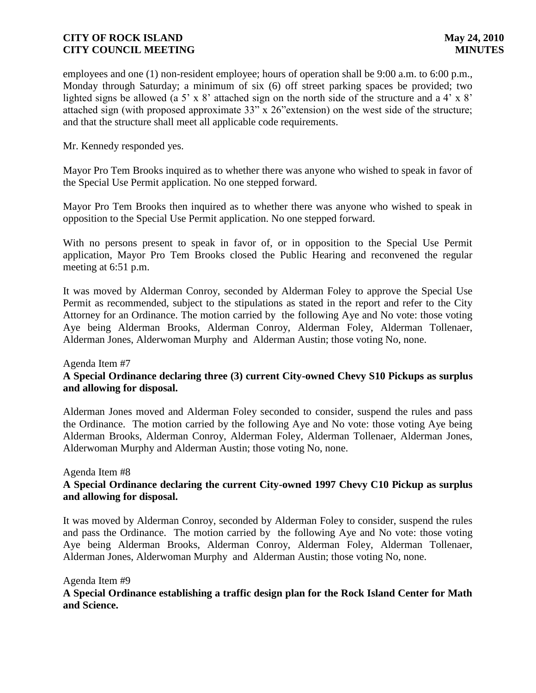employees and one (1) non-resident employee; hours of operation shall be 9:00 a.m. to 6:00 p.m., Monday through Saturday; a minimum of six (6) off street parking spaces be provided; two lighted signs be allowed (a 5' x 8' attached sign on the north side of the structure and a 4' x 8' attached sign (with proposed approximate 33" x 26"extension) on the west side of the structure; and that the structure shall meet all applicable code requirements.

Mr. Kennedy responded yes.

Mayor Pro Tem Brooks inquired as to whether there was anyone who wished to speak in favor of the Special Use Permit application. No one stepped forward.

Mayor Pro Tem Brooks then inquired as to whether there was anyone who wished to speak in opposition to the Special Use Permit application. No one stepped forward.

With no persons present to speak in favor of, or in opposition to the Special Use Permit application, Mayor Pro Tem Brooks closed the Public Hearing and reconvened the regular meeting at 6:51 p.m.

It was moved by Alderman Conroy, seconded by Alderman Foley to approve the Special Use Permit as recommended, subject to the stipulations as stated in the report and refer to the City Attorney for an Ordinance. The motion carried by the following Aye and No vote: those voting Aye being Alderman Brooks, Alderman Conroy, Alderman Foley, Alderman Tollenaer, Alderman Jones, Alderwoman Murphy and Alderman Austin; those voting No, none.

### Agenda Item #7

# **A Special Ordinance declaring three (3) current City-owned Chevy S10 Pickups as surplus and allowing for disposal.**

Alderman Jones moved and Alderman Foley seconded to consider, suspend the rules and pass the Ordinance. The motion carried by the following Aye and No vote: those voting Aye being Alderman Brooks, Alderman Conroy, Alderman Foley, Alderman Tollenaer, Alderman Jones, Alderwoman Murphy and Alderman Austin; those voting No, none.

### Agenda Item #8

# **A Special Ordinance declaring the current City-owned 1997 Chevy C10 Pickup as surplus and allowing for disposal.**

It was moved by Alderman Conroy, seconded by Alderman Foley to consider, suspend the rules and pass the Ordinance. The motion carried by the following Aye and No vote: those voting Aye being Alderman Brooks, Alderman Conroy, Alderman Foley, Alderman Tollenaer, Alderman Jones, Alderwoman Murphy and Alderman Austin; those voting No, none.

### Agenda Item #9

# **A Special Ordinance establishing a traffic design plan for the Rock Island Center for Math and Science.**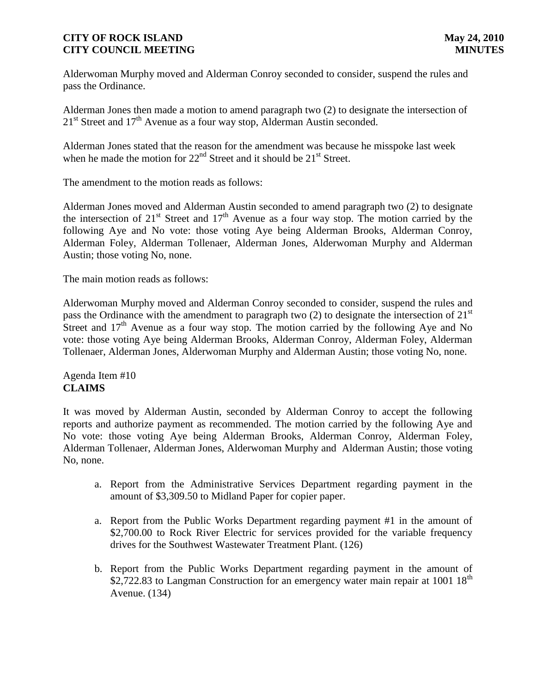Alderwoman Murphy moved and Alderman Conroy seconded to consider, suspend the rules and pass the Ordinance.

Alderman Jones then made a motion to amend paragraph two (2) to designate the intersection of  $21<sup>st</sup>$  Street and  $17<sup>th</sup>$  Avenue as a four way stop, Alderman Austin seconded.

Alderman Jones stated that the reason for the amendment was because he misspoke last week when he made the motion for  $22<sup>nd</sup>$  Street and it should be  $21<sup>st</sup>$  Street.

The amendment to the motion reads as follows:

Alderman Jones moved and Alderman Austin seconded to amend paragraph two (2) to designate the intersection of  $21^{st}$  Street and  $17^{th}$  Avenue as a four way stop. The motion carried by the following Aye and No vote: those voting Aye being Alderman Brooks, Alderman Conroy, Alderman Foley, Alderman Tollenaer, Alderman Jones, Alderwoman Murphy and Alderman Austin; those voting No, none.

The main motion reads as follows:

Alderwoman Murphy moved and Alderman Conroy seconded to consider, suspend the rules and pass the Ordinance with the amendment to paragraph two  $(2)$  to designate the intersection of  $21<sup>st</sup>$ Street and  $17<sup>th</sup>$  Avenue as a four way stop. The motion carried by the following Aye and No vote: those voting Aye being Alderman Brooks, Alderman Conroy, Alderman Foley, Alderman Tollenaer, Alderman Jones, Alderwoman Murphy and Alderman Austin; those voting No, none.

Agenda Item #10 **CLAIMS**

It was moved by Alderman Austin, seconded by Alderman Conroy to accept the following reports and authorize payment as recommended. The motion carried by the following Aye and No vote: those voting Aye being Alderman Brooks, Alderman Conroy, Alderman Foley, Alderman Tollenaer, Alderman Jones, Alderwoman Murphy and Alderman Austin; those voting No, none.

- a. Report from the Administrative Services Department regarding payment in the amount of \$3,309.50 to Midland Paper for copier paper.
- a. Report from the Public Works Department regarding payment #1 in the amount of \$2,700.00 to Rock River Electric for services provided for the variable frequency drives for the Southwest Wastewater Treatment Plant. (126)
- b. Report from the Public Works Department regarding payment in the amount of \$2,722.83 to Langman Construction for an emergency water main repair at  $1001 \, 18^{th}$ Avenue. (134)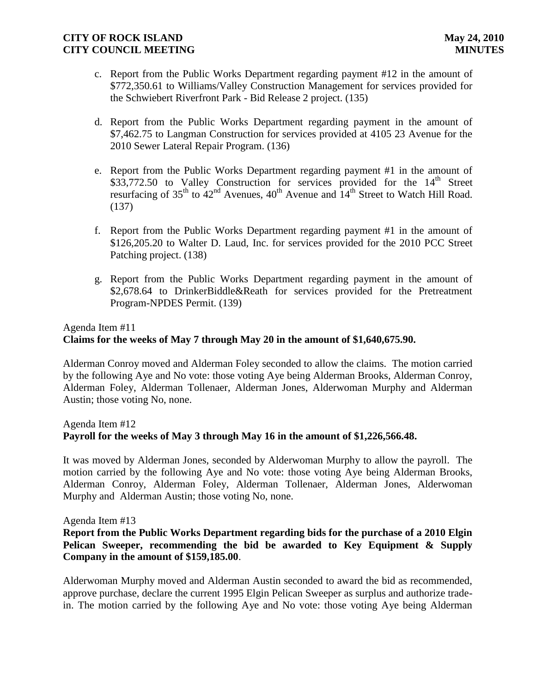- c. Report from the Public Works Department regarding payment #12 in the amount of \$772,350.61 to Williams/Valley Construction Management for services provided for the Schwiebert Riverfront Park - Bid Release 2 project. (135)
- d. Report from the Public Works Department regarding payment in the amount of \$7,462.75 to Langman Construction for services provided at 4105 23 Avenue for the 2010 Sewer Lateral Repair Program. (136)
- e. Report from the Public Works Department regarding payment #1 in the amount of \$33,772.50 to Valley Construction for services provided for the  $14<sup>th</sup>$  Street resurfacing of  $35<sup>th</sup>$  to  $42<sup>nd</sup>$  Avenues,  $40<sup>th</sup>$  Avenue and  $14<sup>th</sup>$  Street to Watch Hill Road. (137)
- f. Report from the Public Works Department regarding payment #1 in the amount of \$126,205.20 to Walter D. Laud, Inc. for services provided for the 2010 PCC Street Patching project. (138)
- g. Report from the Public Works Department regarding payment in the amount of \$2,678.64 to DrinkerBiddle&Reath for services provided for the Pretreatment Program-NPDES Permit. (139)

# Agenda Item #11

# **Claims for the weeks of May 7 through May 20 in the amount of \$1,640,675.90.**

Alderman Conroy moved and Alderman Foley seconded to allow the claims. The motion carried by the following Aye and No vote: those voting Aye being Alderman Brooks, Alderman Conroy, Alderman Foley, Alderman Tollenaer, Alderman Jones, Alderwoman Murphy and Alderman Austin; those voting No, none.

# Agenda Item #12 **Payroll for the weeks of May 3 through May 16 in the amount of \$1,226,566.48.**

It was moved by Alderman Jones, seconded by Alderwoman Murphy to allow the payroll. The motion carried by the following Aye and No vote: those voting Aye being Alderman Brooks, Alderman Conroy, Alderman Foley, Alderman Tollenaer, Alderman Jones, Alderwoman Murphy and Alderman Austin; those voting No, none.

### Agenda Item #13

# **Report from the Public Works Department regarding bids for the purchase of a 2010 Elgin Pelican Sweeper, recommending the bid be awarded to Key Equipment & Supply Company in the amount of \$159,185.00**.

Alderwoman Murphy moved and Alderman Austin seconded to award the bid as recommended, approve purchase, declare the current 1995 Elgin Pelican Sweeper as surplus and authorize tradein. The motion carried by the following Aye and No vote: those voting Aye being Alderman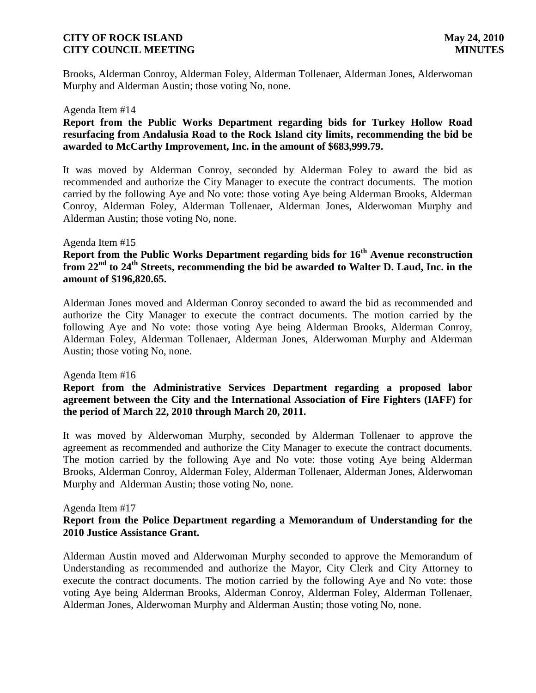Brooks, Alderman Conroy, Alderman Foley, Alderman Tollenaer, Alderman Jones, Alderwoman Murphy and Alderman Austin; those voting No, none.

#### Agenda Item #14

### **Report from the Public Works Department regarding bids for Turkey Hollow Road resurfacing from Andalusia Road to the Rock Island city limits, recommending the bid be awarded to McCarthy Improvement, Inc. in the amount of \$683,999.79.**

It was moved by Alderman Conroy, seconded by Alderman Foley to award the bid as recommended and authorize the City Manager to execute the contract documents. The motion carried by the following Aye and No vote: those voting Aye being Alderman Brooks, Alderman Conroy, Alderman Foley, Alderman Tollenaer, Alderman Jones, Alderwoman Murphy and Alderman Austin; those voting No, none.

#### Agenda Item #15

# **Report from the Public Works Department regarding bids for 16th Avenue reconstruction from 22nd to 24th Streets, recommending the bid be awarded to Walter D. Laud, Inc. in the amount of \$196,820.65.**

Alderman Jones moved and Alderman Conroy seconded to award the bid as recommended and authorize the City Manager to execute the contract documents. The motion carried by the following Aye and No vote: those voting Aye being Alderman Brooks, Alderman Conroy, Alderman Foley, Alderman Tollenaer, Alderman Jones, Alderwoman Murphy and Alderman Austin; those voting No, none.

#### Agenda Item #16

### **Report from the Administrative Services Department regarding a proposed labor agreement between the City and the International Association of Fire Fighters (IAFF) for the period of March 22, 2010 through March 20, 2011.**

It was moved by Alderwoman Murphy, seconded by Alderman Tollenaer to approve the agreement as recommended and authorize the City Manager to execute the contract documents. The motion carried by the following Aye and No vote: those voting Aye being Alderman Brooks, Alderman Conroy, Alderman Foley, Alderman Tollenaer, Alderman Jones, Alderwoman Murphy and Alderman Austin; those voting No, none.

#### Agenda Item #17

### **Report from the Police Department regarding a Memorandum of Understanding for the 2010 Justice Assistance Grant.**

Alderman Austin moved and Alderwoman Murphy seconded to approve the Memorandum of Understanding as recommended and authorize the Mayor, City Clerk and City Attorney to execute the contract documents. The motion carried by the following Aye and No vote: those voting Aye being Alderman Brooks, Alderman Conroy, Alderman Foley, Alderman Tollenaer, Alderman Jones, Alderwoman Murphy and Alderman Austin; those voting No, none.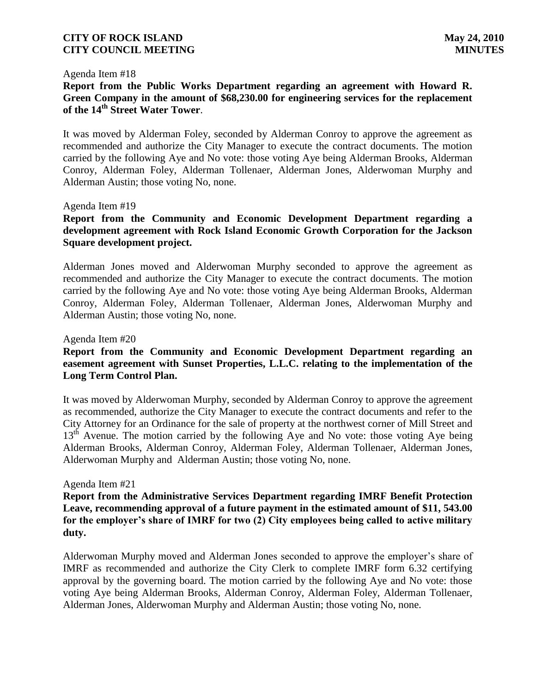#### Agenda Item #18

## **Report from the Public Works Department regarding an agreement with Howard R. Green Company in the amount of \$68,230.00 for engineering services for the replacement of the 14th Street Water Tower**.

It was moved by Alderman Foley, seconded by Alderman Conroy to approve the agreement as recommended and authorize the City Manager to execute the contract documents. The motion carried by the following Aye and No vote: those voting Aye being Alderman Brooks, Alderman Conroy, Alderman Foley, Alderman Tollenaer, Alderman Jones, Alderwoman Murphy and Alderman Austin; those voting No, none.

#### Agenda Item #19

# **Report from the Community and Economic Development Department regarding a development agreement with Rock Island Economic Growth Corporation for the Jackson Square development project.**

Alderman Jones moved and Alderwoman Murphy seconded to approve the agreement as recommended and authorize the City Manager to execute the contract documents. The motion carried by the following Aye and No vote: those voting Aye being Alderman Brooks, Alderman Conroy, Alderman Foley, Alderman Tollenaer, Alderman Jones, Alderwoman Murphy and Alderman Austin; those voting No, none.

#### Agenda Item #20

## **Report from the Community and Economic Development Department regarding an easement agreement with Sunset Properties, L.L.C. relating to the implementation of the Long Term Control Plan.**

It was moved by Alderwoman Murphy, seconded by Alderman Conroy to approve the agreement as recommended, authorize the City Manager to execute the contract documents and refer to the City Attorney for an Ordinance for the sale of property at the northwest corner of Mill Street and 13<sup>th</sup> Avenue. The motion carried by the following Aye and No vote: those voting Aye being Alderman Brooks, Alderman Conroy, Alderman Foley, Alderman Tollenaer, Alderman Jones, Alderwoman Murphy and Alderman Austin; those voting No, none.

#### Agenda Item #21

**Report from the Administrative Services Department regarding IMRF Benefit Protection Leave, recommending approval of a future payment in the estimated amount of \$11, 543.00 for the employer's share of IMRF for two (2) City employees being called to active military duty.**

Alderwoman Murphy moved and Alderman Jones seconded to approve the employer's share of IMRF as recommended and authorize the City Clerk to complete IMRF form 6.32 certifying approval by the governing board. The motion carried by the following Aye and No vote: those voting Aye being Alderman Brooks, Alderman Conroy, Alderman Foley, Alderman Tollenaer, Alderman Jones, Alderwoman Murphy and Alderman Austin; those voting No, none.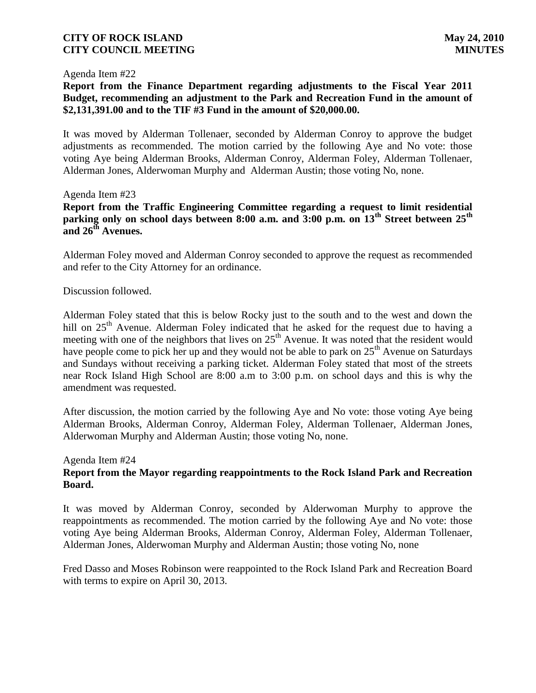#### Agenda Item #22

# **Report from the Finance Department regarding adjustments to the Fiscal Year 2011 Budget, recommending an adjustment to the Park and Recreation Fund in the amount of \$2,131,391.00 and to the TIF #3 Fund in the amount of \$20,000.00.**

It was moved by Alderman Tollenaer, seconded by Alderman Conroy to approve the budget adjustments as recommended. The motion carried by the following Aye and No vote: those voting Aye being Alderman Brooks, Alderman Conroy, Alderman Foley, Alderman Tollenaer, Alderman Jones, Alderwoman Murphy and Alderman Austin; those voting No, none.

#### Agenda Item #23

**Report from the Traffic Engineering Committee regarding a request to limit residential parking only on school days between 8:00 a.m. and 3:00 p.m. on 13th Street between 25th and 26th Avenues.** 

Alderman Foley moved and Alderman Conroy seconded to approve the request as recommended and refer to the City Attorney for an ordinance.

#### Discussion followed.

Alderman Foley stated that this is below Rocky just to the south and to the west and down the hill on  $25<sup>th</sup>$  Avenue. Alderman Foley indicated that he asked for the request due to having a meeting with one of the neighbors that lives on  $25<sup>th</sup>$  Avenue. It was noted that the resident would have people come to pick her up and they would not be able to park on  $25<sup>th</sup>$  Avenue on Saturdays and Sundays without receiving a parking ticket. Alderman Foley stated that most of the streets near Rock Island High School are 8:00 a.m to 3:00 p.m. on school days and this is why the amendment was requested.

After discussion, the motion carried by the following Aye and No vote: those voting Aye being Alderman Brooks, Alderman Conroy, Alderman Foley, Alderman Tollenaer, Alderman Jones, Alderwoman Murphy and Alderman Austin; those voting No, none.

# Agenda Item #24

### **Report from the Mayor regarding reappointments to the Rock Island Park and Recreation Board.**

It was moved by Alderman Conroy, seconded by Alderwoman Murphy to approve the reappointments as recommended. The motion carried by the following Aye and No vote: those voting Aye being Alderman Brooks, Alderman Conroy, Alderman Foley, Alderman Tollenaer, Alderman Jones, Alderwoman Murphy and Alderman Austin; those voting No, none

Fred Dasso and Moses Robinson were reappointed to the Rock Island Park and Recreation Board with terms to expire on April 30, 2013.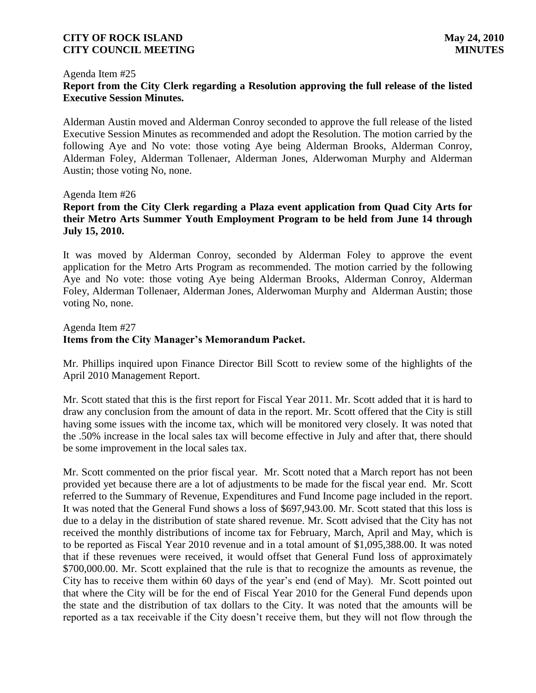#### Agenda Item #25

# **Report from the City Clerk regarding a Resolution approving the full release of the listed Executive Session Minutes.**

Alderman Austin moved and Alderman Conroy seconded to approve the full release of the listed Executive Session Minutes as recommended and adopt the Resolution. The motion carried by the following Aye and No vote: those voting Aye being Alderman Brooks, Alderman Conroy, Alderman Foley, Alderman Tollenaer, Alderman Jones, Alderwoman Murphy and Alderman Austin; those voting No, none.

#### Agenda Item #26

# **Report from the City Clerk regarding a Plaza event application from Quad City Arts for their Metro Arts Summer Youth Employment Program to be held from June 14 through July 15, 2010.**

It was moved by Alderman Conroy, seconded by Alderman Foley to approve the event application for the Metro Arts Program as recommended. The motion carried by the following Aye and No vote: those voting Aye being Alderman Brooks, Alderman Conroy, Alderman Foley, Alderman Tollenaer, Alderman Jones, Alderwoman Murphy and Alderman Austin; those voting No, none.

#### Agenda Item #27

# **Items from the City Manager's Memorandum Packet.**

Mr. Phillips inquired upon Finance Director Bill Scott to review some of the highlights of the April 2010 Management Report.

Mr. Scott stated that this is the first report for Fiscal Year 2011. Mr. Scott added that it is hard to draw any conclusion from the amount of data in the report. Mr. Scott offered that the City is still having some issues with the income tax, which will be monitored very closely. It was noted that the .50% increase in the local sales tax will become effective in July and after that, there should be some improvement in the local sales tax.

Mr. Scott commented on the prior fiscal year. Mr. Scott noted that a March report has not been provided yet because there are a lot of adjustments to be made for the fiscal year end. Mr. Scott referred to the Summary of Revenue, Expenditures and Fund Income page included in the report. It was noted that the General Fund shows a loss of \$697,943.00. Mr. Scott stated that this loss is due to a delay in the distribution of state shared revenue. Mr. Scott advised that the City has not received the monthly distributions of income tax for February, March, April and May, which is to be reported as Fiscal Year 2010 revenue and in a total amount of \$1,095,388.00. It was noted that if these revenues were received, it would offset that General Fund loss of approximately \$700,000.00. Mr. Scott explained that the rule is that to recognize the amounts as revenue, the City has to receive them within 60 days of the year's end (end of May). Mr. Scott pointed out that where the City will be for the end of Fiscal Year 2010 for the General Fund depends upon the state and the distribution of tax dollars to the City. It was noted that the amounts will be reported as a tax receivable if the City doesn't receive them, but they will not flow through the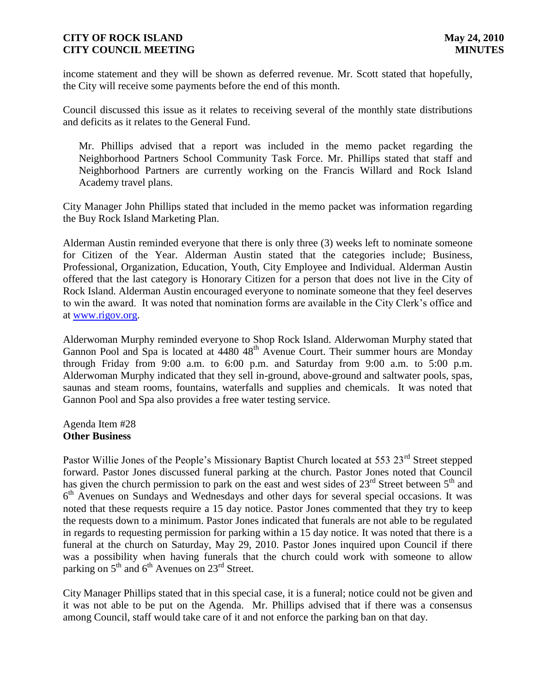income statement and they will be shown as deferred revenue. Mr. Scott stated that hopefully, the City will receive some payments before the end of this month.

Council discussed this issue as it relates to receiving several of the monthly state distributions and deficits as it relates to the General Fund.

 Mr. Phillips advised that a report was included in the memo packet regarding the Neighborhood Partners School Community Task Force. Mr. Phillips stated that staff and Neighborhood Partners are currently working on the Francis Willard and Rock Island Academy travel plans.

City Manager John Phillips stated that included in the memo packet was information regarding the Buy Rock Island Marketing Plan.

Alderman Austin reminded everyone that there is only three (3) weeks left to nominate someone for Citizen of the Year. Alderman Austin stated that the categories include; Business, Professional, Organization, Education, Youth, City Employee and Individual. Alderman Austin offered that the last category is Honorary Citizen for a person that does not live in the City of Rock Island. Alderman Austin encouraged everyone to nominate someone that they feel deserves to win the award. It was noted that nomination forms are available in the City Clerk's office and at [www.rigov.org.](http://www.rigov.org/)

Alderwoman Murphy reminded everyone to Shop Rock Island. Alderwoman Murphy stated that Gannon Pool and Spa is located at 4480 48<sup>th</sup> Avenue Court. Their summer hours are Monday through Friday from 9:00 a.m. to  $6:00$  p.m. and Saturday from 9:00 a.m. to  $5:00$  p.m. Alderwoman Murphy indicated that they sell in-ground, above-ground and saltwater pools, spas, saunas and steam rooms, fountains, waterfalls and supplies and chemicals. It was noted that Gannon Pool and Spa also provides a free water testing service.

Agenda Item #28 **Other Business**

Pastor Willie Jones of the People's Missionary Baptist Church located at 553 23<sup>rd</sup> Street stepped forward. Pastor Jones discussed funeral parking at the church. Pastor Jones noted that Council has given the church permission to park on the east and west sides of  $23<sup>rd</sup>$  Street between  $5<sup>th</sup>$  and 6<sup>th</sup> Avenues on Sundays and Wednesdays and other days for several special occasions. It was noted that these requests require a 15 day notice. Pastor Jones commented that they try to keep the requests down to a minimum. Pastor Jones indicated that funerals are not able to be regulated in regards to requesting permission for parking within a 15 day notice. It was noted that there is a funeral at the church on Saturday, May 29, 2010. Pastor Jones inquired upon Council if there was a possibility when having funerals that the church could work with someone to allow parking on  $5<sup>th</sup>$  and  $6<sup>th</sup>$  Avenues on  $23<sup>rd</sup>$  Street.

City Manager Phillips stated that in this special case, it is a funeral; notice could not be given and it was not able to be put on the Agenda. Mr. Phillips advised that if there was a consensus among Council, staff would take care of it and not enforce the parking ban on that day.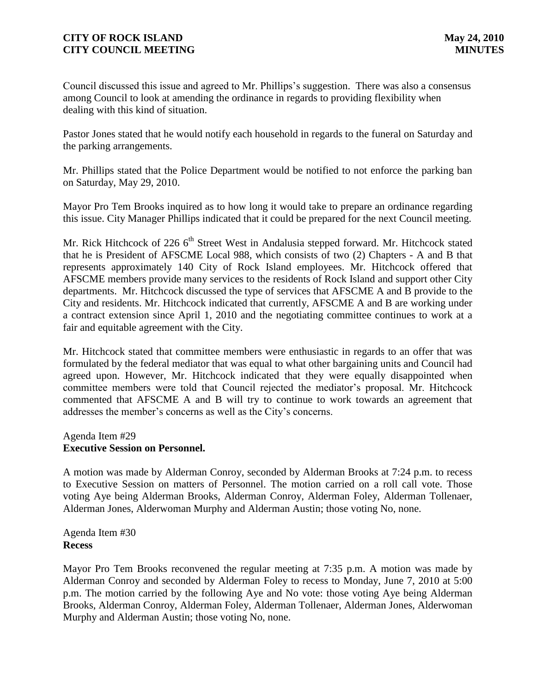Council discussed this issue and agreed to Mr. Phillips's suggestion. There was also a consensus among Council to look at amending the ordinance in regards to providing flexibility when dealing with this kind of situation.

Pastor Jones stated that he would notify each household in regards to the funeral on Saturday and the parking arrangements.

Mr. Phillips stated that the Police Department would be notified to not enforce the parking ban on Saturday, May 29, 2010.

Mayor Pro Tem Brooks inquired as to how long it would take to prepare an ordinance regarding this issue. City Manager Phillips indicated that it could be prepared for the next Council meeting.

Mr. Rick Hitchcock of 226 6<sup>th</sup> Street West in Andalusia stepped forward. Mr. Hitchcock stated that he is President of AFSCME Local 988, which consists of two (2) Chapters - A and B that represents approximately 140 City of Rock Island employees. Mr. Hitchcock offered that AFSCME members provide many services to the residents of Rock Island and support other City departments. Mr. Hitchcock discussed the type of services that AFSCME A and B provide to the City and residents. Mr. Hitchcock indicated that currently, AFSCME A and B are working under a contract extension since April 1, 2010 and the negotiating committee continues to work at a fair and equitable agreement with the City.

Mr. Hitchcock stated that committee members were enthusiastic in regards to an offer that was formulated by the federal mediator that was equal to what other bargaining units and Council had agreed upon. However, Mr. Hitchcock indicated that they were equally disappointed when committee members were told that Council rejected the mediator's proposal. Mr. Hitchcock commented that AFSCME A and B will try to continue to work towards an agreement that addresses the member's concerns as well as the City's concerns.

### Agenda Item #29 **Executive Session on Personnel.**

A motion was made by Alderman Conroy, seconded by Alderman Brooks at 7:24 p.m. to recess to Executive Session on matters of Personnel. The motion carried on a roll call vote. Those voting Aye being Alderman Brooks, Alderman Conroy, Alderman Foley, Alderman Tollenaer, Alderman Jones, Alderwoman Murphy and Alderman Austin; those voting No, none.

Agenda Item #30 **Recess**

Mayor Pro Tem Brooks reconvened the regular meeting at 7:35 p.m. A motion was made by Alderman Conroy and seconded by Alderman Foley to recess to Monday, June 7, 2010 at 5:00 p.m. The motion carried by the following Aye and No vote: those voting Aye being Alderman Brooks, Alderman Conroy, Alderman Foley, Alderman Tollenaer, Alderman Jones, Alderwoman Murphy and Alderman Austin; those voting No, none.